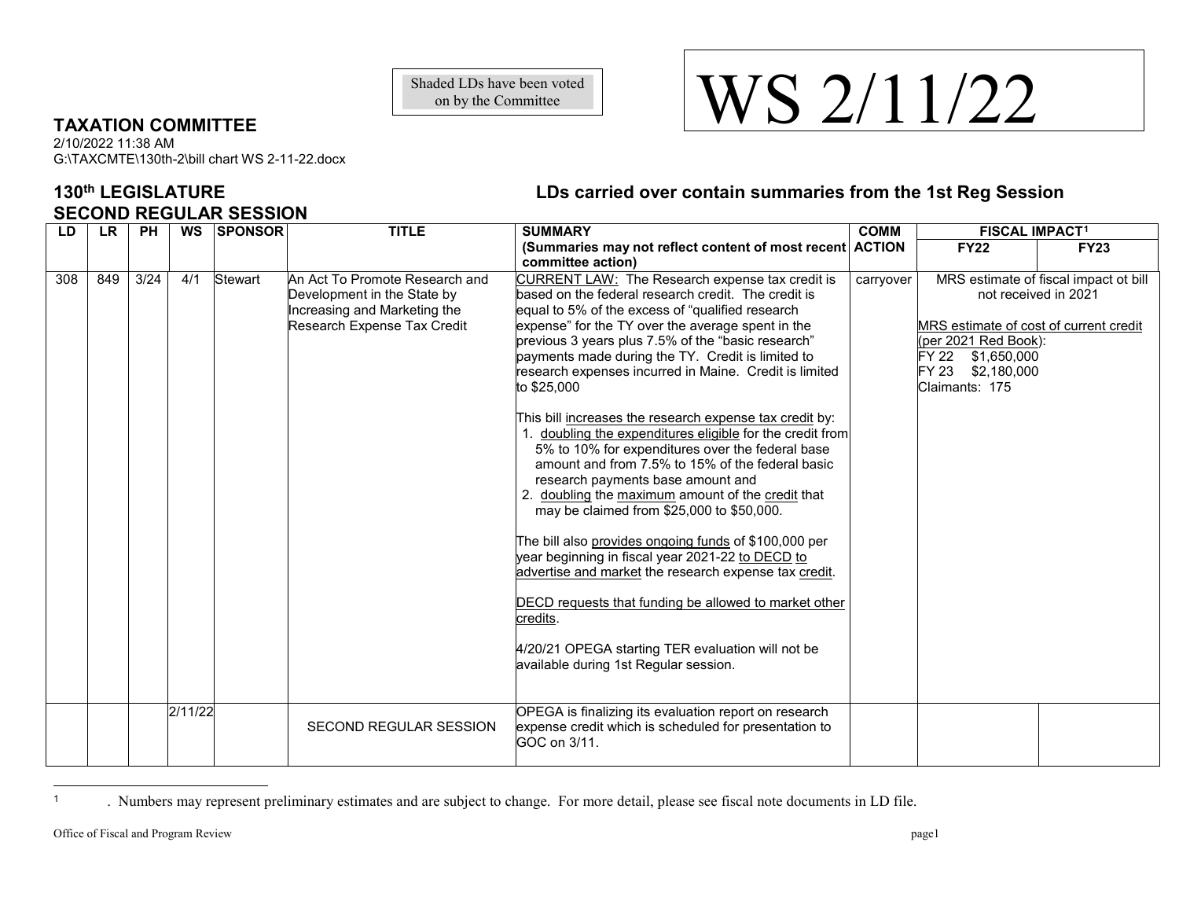on by the Committee

## **TAXATION COMMITTEE**

2/10/2022 11:38 AM G:\TAXCMTE\130th-2\bill chart WS 2-11-22.docx

## **SECOND REGULAR SESSION**

## **130th LEGISLATURE LDs carried over contain summaries from the 1st Reg Session**

| LD  | <b>LR</b> | <b>PH</b> | <b>WS</b> | <b>SPONSOR</b> | <b>TITLE</b>                                                                                                                 | <b>SUMMARY</b>                                                                                                                                                                                                                                                                                                                                                                                                                                                                                                                                                                                                                                                                                                                                                                                                                                                                                                                                                                                                                                                                                                   | <b>COMM</b> | <b>FISCAL IMPACT<sup>1</sup></b>                                                                                                                   |                                       |
|-----|-----------|-----------|-----------|----------------|------------------------------------------------------------------------------------------------------------------------------|------------------------------------------------------------------------------------------------------------------------------------------------------------------------------------------------------------------------------------------------------------------------------------------------------------------------------------------------------------------------------------------------------------------------------------------------------------------------------------------------------------------------------------------------------------------------------------------------------------------------------------------------------------------------------------------------------------------------------------------------------------------------------------------------------------------------------------------------------------------------------------------------------------------------------------------------------------------------------------------------------------------------------------------------------------------------------------------------------------------|-------------|----------------------------------------------------------------------------------------------------------------------------------------------------|---------------------------------------|
|     |           |           |           |                |                                                                                                                              | (Summaries may not reflect content of most recent ACTION<br>committee action)                                                                                                                                                                                                                                                                                                                                                                                                                                                                                                                                                                                                                                                                                                                                                                                                                                                                                                                                                                                                                                    |             | <b>FY22</b>                                                                                                                                        | <b>FY23</b>                           |
| 308 | 849       | 3/24      | 4/1       | Stewart        | An Act To Promote Research and<br>Development in the State by<br>Increasing and Marketing the<br>Research Expense Tax Credit | CURRENT LAW: The Research expense tax credit is<br>based on the federal research credit. The credit is<br>equal to 5% of the excess of "qualified research<br>expense" for the TY over the average spent in the<br>previous 3 years plus 7.5% of the "basic research"<br>payments made during the TY. Credit is limited to<br>research expenses incurred in Maine. Credit is limited<br>to \$25,000<br>This bill increases the research expense tax credit by:<br>doubling the expenditures eligible for the credit from<br>5% to 10% for expenditures over the federal base<br>amount and from 7.5% to 15% of the federal basic<br>research payments base amount and<br>2. doubling the maximum amount of the credit that<br>may be claimed from \$25,000 to \$50,000.<br>The bill also provides ongoing funds of \$100,000 per<br>year beginning in fiscal year 2021-22 to DECD to<br>advertise and market the research expense tax credit.<br>DECD requests that funding be allowed to market other<br>credits.<br>4/20/21 OPEGA starting TER evaluation will not be<br>available during 1st Regular session. | carryover   | not received in 2021<br>MRS estimate of cost of current credit<br>(per 2021 Red Book):<br>FY 22 \$1,650,000<br>FY 23 \$2,180,000<br>Claimants: 175 | MRS estimate of fiscal impact ot bill |
|     |           |           | 2/11/22   |                | SECOND REGULAR SESSION                                                                                                       | OPEGA is finalizing its evaluation report on research<br>expense credit which is scheduled for presentation to<br>GOC on 3/11.                                                                                                                                                                                                                                                                                                                                                                                                                                                                                                                                                                                                                                                                                                                                                                                                                                                                                                                                                                                   |             |                                                                                                                                                    |                                       |

<sup>1</sup> . Numbers may represent preliminary estimates and are subject to change. For more detail, please see fiscal note documents in LD file.

 $\overline{a}$ 

## <span id="page-0-0"></span>Shaded LDs have been voted<br>
on by the Committee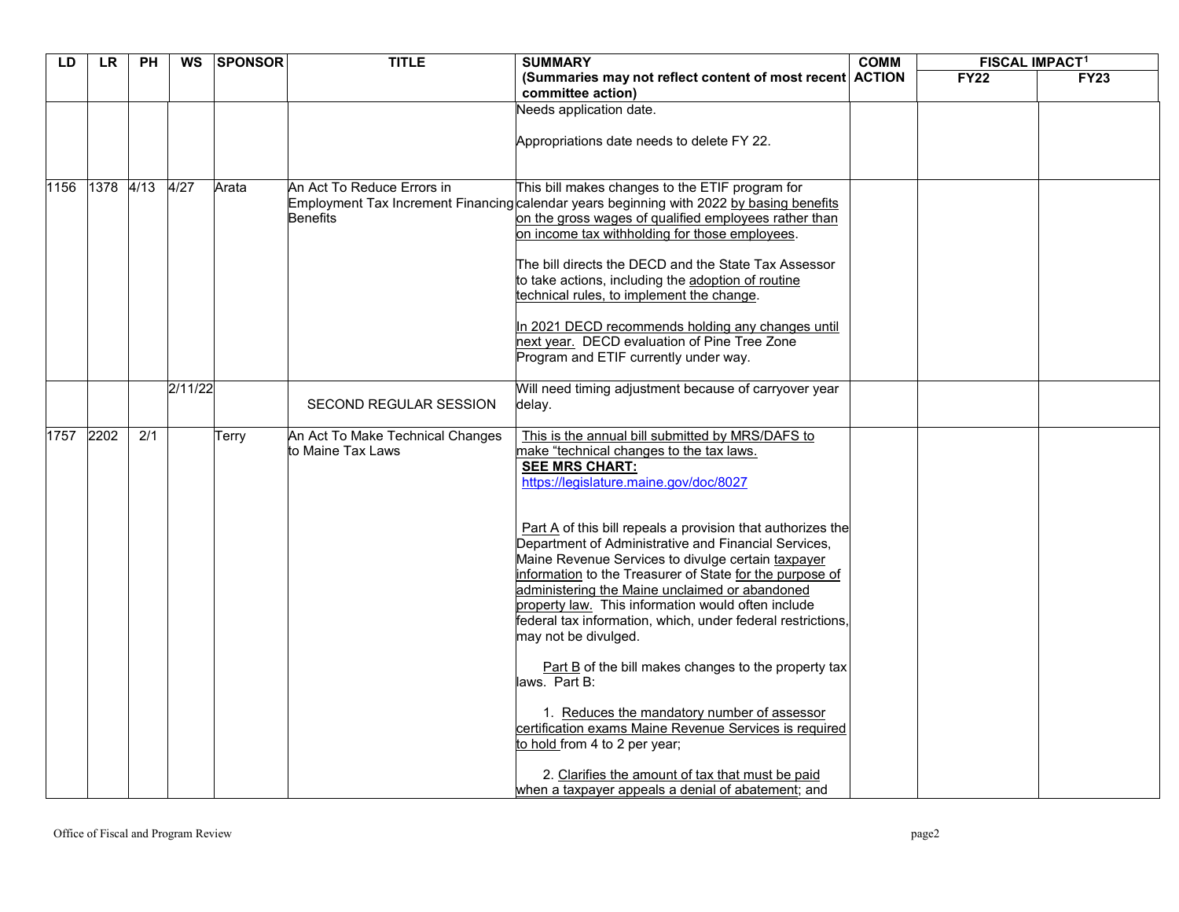| LD   | <b>LR</b> | <b>PH</b>        | <b>WS</b> | <b>SPONSOR</b> | <b>TITLE</b>                                          | <b>SUMMARY</b>                                                                                                                                                                                                                                                                                                                                                                                                                                                                                                                                                                                                                                                                                                                                                                                                                                                                                                                       | <b>COMM</b> | <b>FISCAL IMPACT1</b> |             |
|------|-----------|------------------|-----------|----------------|-------------------------------------------------------|--------------------------------------------------------------------------------------------------------------------------------------------------------------------------------------------------------------------------------------------------------------------------------------------------------------------------------------------------------------------------------------------------------------------------------------------------------------------------------------------------------------------------------------------------------------------------------------------------------------------------------------------------------------------------------------------------------------------------------------------------------------------------------------------------------------------------------------------------------------------------------------------------------------------------------------|-------------|-----------------------|-------------|
|      |           |                  |           |                |                                                       | (Summaries may not reflect content of most recent ACTION<br>committee action)                                                                                                                                                                                                                                                                                                                                                                                                                                                                                                                                                                                                                                                                                                                                                                                                                                                        |             | <b>FY22</b>           | <b>FY23</b> |
|      |           |                  |           |                |                                                       | Needs application date.                                                                                                                                                                                                                                                                                                                                                                                                                                                                                                                                                                                                                                                                                                                                                                                                                                                                                                              |             |                       |             |
|      |           |                  |           |                |                                                       | Appropriations date needs to delete FY 22.                                                                                                                                                                                                                                                                                                                                                                                                                                                                                                                                                                                                                                                                                                                                                                                                                                                                                           |             |                       |             |
| 1156 | 1378      | 4/13             | 4/27      | Arata          | An Act To Reduce Errors in<br><b>Benefits</b>         | This bill makes changes to the ETIF program for<br>Employment Tax Increment Financing calendar years beginning with 2022 by basing benefits<br>on the gross wages of qualified employees rather than<br>on income tax withholding for those employees.<br>The bill directs the DECD and the State Tax Assessor<br>to take actions, including the adoption of routine<br>technical rules, to implement the change.<br>In 2021 DECD recommends holding any changes until<br>next year. DECD evaluation of Pine Tree Zone<br>Program and ETIF currently under way.                                                                                                                                                                                                                                                                                                                                                                      |             |                       |             |
|      |           |                  | 2/11/22   |                | SECOND REGULAR SESSION                                | Will need timing adjustment because of carryover year<br>delay.                                                                                                                                                                                                                                                                                                                                                                                                                                                                                                                                                                                                                                                                                                                                                                                                                                                                      |             |                       |             |
| 1757 | 2202      | $\overline{2/1}$ |           | Terry          | An Act To Make Technical Changes<br>to Maine Tax Laws | This is the annual bill submitted by MRS/DAFS to<br>make "technical changes to the tax laws.<br><b>SEE MRS CHART:</b><br>https://legislature.maine.gov/doc/8027<br>Part A of this bill repeals a provision that authorizes the<br>Department of Administrative and Financial Services,<br>Maine Revenue Services to divulge certain taxpayer<br>information to the Treasurer of State for the purpose of<br>administering the Maine unclaimed or abandoned<br>property law. This information would often include<br>federal tax information, which, under federal restrictions,<br>may not be divulged.<br>Part B of the bill makes changes to the property tax<br>laws. Part B:<br>1. Reduces the mandatory number of assessor<br>certification exams Maine Revenue Services is required<br>to hold from 4 to 2 per year;<br>2. Clarifies the amount of tax that must be paid<br>when a taxpayer appeals a denial of abatement; and |             |                       |             |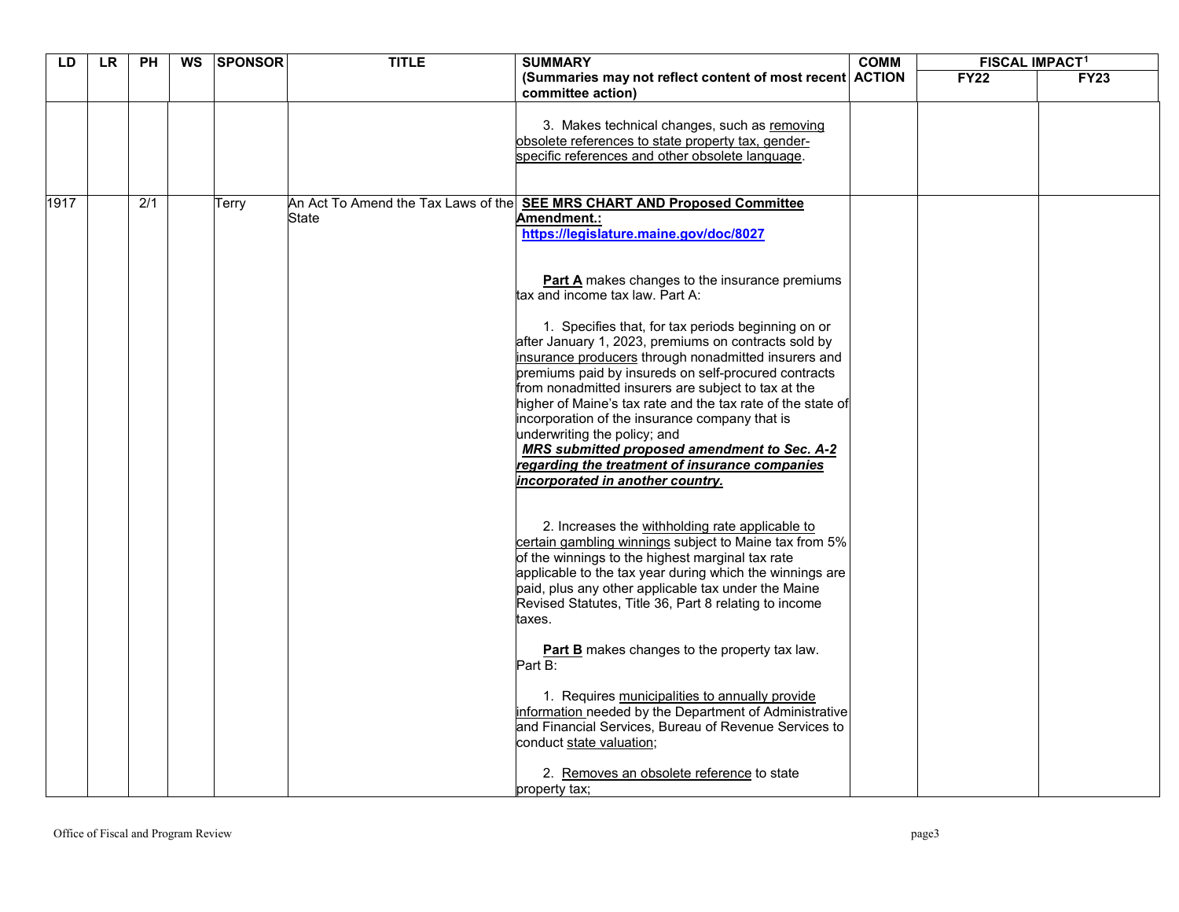| LD   | LR | <b>PH</b> | WS | <b>SPONSOR</b> | <b>TITLE</b> | <b>SUMMARY</b>                                                                                                                                                                                                                                                                                                                                                                                                                                                                                                                                                                                                                                                                                                                                                                                                                                                                                                                                                                                                                                                                                                                                                                                                                      | <b>COMM</b> | <b>FISCAL IMPACT1</b> |             |
|------|----|-----------|----|----------------|--------------|-------------------------------------------------------------------------------------------------------------------------------------------------------------------------------------------------------------------------------------------------------------------------------------------------------------------------------------------------------------------------------------------------------------------------------------------------------------------------------------------------------------------------------------------------------------------------------------------------------------------------------------------------------------------------------------------------------------------------------------------------------------------------------------------------------------------------------------------------------------------------------------------------------------------------------------------------------------------------------------------------------------------------------------------------------------------------------------------------------------------------------------------------------------------------------------------------------------------------------------|-------------|-----------------------|-------------|
|      |    |           |    |                |              | (Summaries may not reflect content of most recent ACTION<br>committee action)                                                                                                                                                                                                                                                                                                                                                                                                                                                                                                                                                                                                                                                                                                                                                                                                                                                                                                                                                                                                                                                                                                                                                       |             | <b>FY22</b>           | <b>FY23</b> |
|      |    |           |    |                |              | 3. Makes technical changes, such as removing<br>obsolete references to state property tax, gender-<br>specific references and other obsolete language.                                                                                                                                                                                                                                                                                                                                                                                                                                                                                                                                                                                                                                                                                                                                                                                                                                                                                                                                                                                                                                                                              |             |                       |             |
| 1917 |    | 2/1       |    | Terry          | State        | An Act To Amend the Tax Laws of the <b>SEE MRS CHART AND Proposed Committee</b><br>Amendment.:<br>https://legislature.maine.gov/doc/8027<br><b>Part A</b> makes changes to the insurance premiums<br>tax and income tax law. Part A:<br>1. Specifies that, for tax periods beginning on or<br>after January 1, 2023, premiums on contracts sold by<br>insurance producers through nonadmitted insurers and<br>premiums paid by insureds on self-procured contracts<br>from nonadmitted insurers are subject to tax at the<br>higher of Maine's tax rate and the tax rate of the state of<br>incorporation of the insurance company that is<br>underwriting the policy; and<br>MRS submitted proposed amendment to Sec. A-2<br>regarding the treatment of insurance companies<br>incorporated in another country.<br>2. Increases the withholding rate applicable to<br>certain gambling winnings subject to Maine tax from 5%<br>of the winnings to the highest marginal tax rate<br>applicable to the tax year during which the winnings are<br>paid, plus any other applicable tax under the Maine<br>Revised Statutes, Title 36, Part 8 relating to income<br>taxes.<br>Part B makes changes to the property tax law.<br>Part B: |             |                       |             |
|      |    |           |    |                |              | 1. Requires municipalities to annually provide<br>information needed by the Department of Administrative<br>and Financial Services, Bureau of Revenue Services to<br>conduct state valuation;<br>2. Removes an obsolete reference to state<br>property tax;                                                                                                                                                                                                                                                                                                                                                                                                                                                                                                                                                                                                                                                                                                                                                                                                                                                                                                                                                                         |             |                       |             |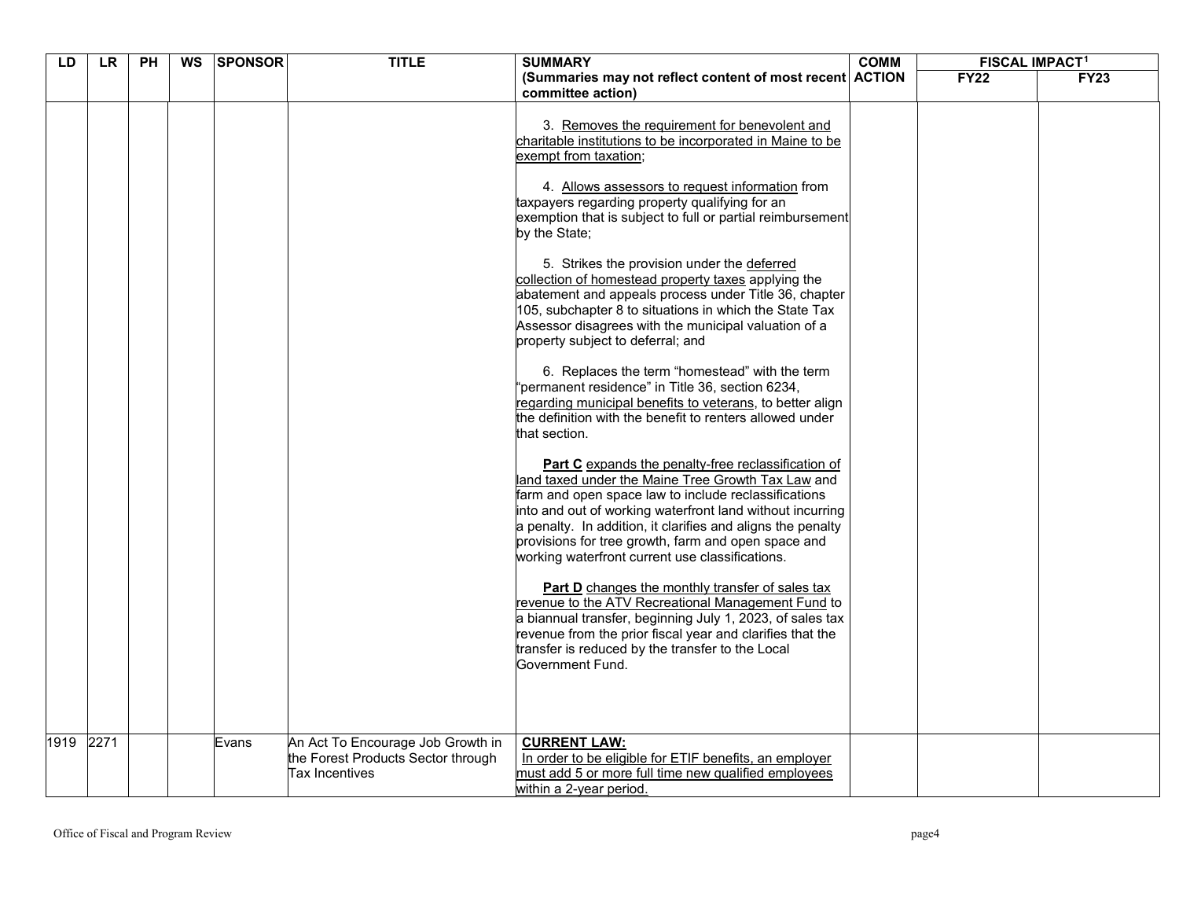| $\overline{PH}$<br><b>LD</b><br><b>LR</b> |      | <b>WS</b> | <b>SPONSOR</b> | <b>TITLE</b> | <b>SUMMARY</b>                                                                            | <b>COMM</b>                                                                                                                                                                                                                                                                                                                                                                                                                                                                                                                                                                                                                                                                                                                                                                                                                                                                                                                                                                                                                                                                                                                                                                                                                                                                                                                                                                                                                                                                                                                                                                                                                 | <b>FISCAL IMPACT<sup>1</sup></b> |             |             |
|-------------------------------------------|------|-----------|----------------|--------------|-------------------------------------------------------------------------------------------|-----------------------------------------------------------------------------------------------------------------------------------------------------------------------------------------------------------------------------------------------------------------------------------------------------------------------------------------------------------------------------------------------------------------------------------------------------------------------------------------------------------------------------------------------------------------------------------------------------------------------------------------------------------------------------------------------------------------------------------------------------------------------------------------------------------------------------------------------------------------------------------------------------------------------------------------------------------------------------------------------------------------------------------------------------------------------------------------------------------------------------------------------------------------------------------------------------------------------------------------------------------------------------------------------------------------------------------------------------------------------------------------------------------------------------------------------------------------------------------------------------------------------------------------------------------------------------------------------------------------------------|----------------------------------|-------------|-------------|
|                                           |      |           |                |              |                                                                                           | (Summaries may not reflect content of most recent ACTION<br>committee action)                                                                                                                                                                                                                                                                                                                                                                                                                                                                                                                                                                                                                                                                                                                                                                                                                                                                                                                                                                                                                                                                                                                                                                                                                                                                                                                                                                                                                                                                                                                                               |                                  | <b>FY22</b> | <b>FY23</b> |
|                                           |      |           |                |              |                                                                                           | 3. Removes the requirement for benevolent and<br>charitable institutions to be incorporated in Maine to be<br>exempt from taxation;<br>4. Allows assessors to request information from<br>taxpayers regarding property qualifying for an<br>exemption that is subject to full or partial reimbursement<br>by the State;<br>5. Strikes the provision under the deferred<br>collection of homestead property taxes applying the<br>abatement and appeals process under Title 36, chapter<br>105, subchapter 8 to situations in which the State Tax<br>Assessor disagrees with the municipal valuation of a<br>property subject to deferral; and<br>6. Replaces the term "homestead" with the term<br>"permanent residence" in Title 36, section 6234,<br>regarding municipal benefits to veterans, to better align<br>the definition with the benefit to renters allowed under<br>that section.<br>Part C expands the penalty-free reclassification of<br>land taxed under the Maine Tree Growth Tax Law and<br>farm and open space law to include reclassifications<br>into and out of working waterfront land without incurring<br>a penalty. In addition, it clarifies and aligns the penalty<br>provisions for tree growth, farm and open space and<br>working waterfront current use classifications.<br><b>Part D</b> changes the monthly transfer of sales tax<br>revenue to the ATV Recreational Management Fund to<br>a biannual transfer, beginning July 1, 2023, of sales tax<br>revenue from the prior fiscal year and clarifies that the<br>transfer is reduced by the transfer to the Local<br>Government Fund. |                                  |             |             |
| 1919                                      | 2271 |           |                | Evans        | An Act To Encourage Job Growth in<br>the Forest Products Sector through<br>Tax Incentives | <b>CURRENT LAW:</b><br>In order to be eligible for ETIF benefits, an employer<br>must add 5 or more full time new qualified employees<br>within a 2-year period.                                                                                                                                                                                                                                                                                                                                                                                                                                                                                                                                                                                                                                                                                                                                                                                                                                                                                                                                                                                                                                                                                                                                                                                                                                                                                                                                                                                                                                                            |                                  |             |             |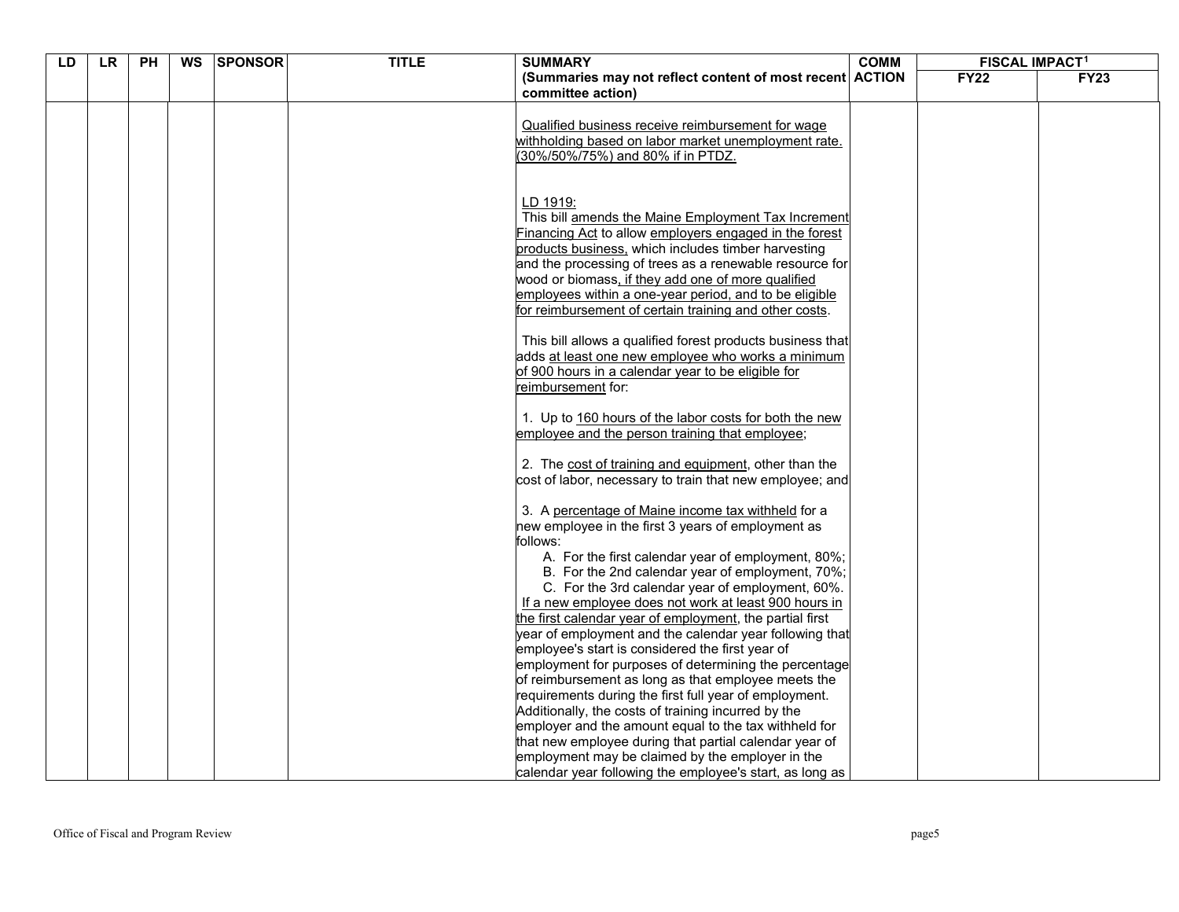| LD | <b>LR</b> | <b>PH</b> | <b>WS</b> | <b>SPONSOR</b> | <b>TITLE</b> | <b>SUMMARY</b>                                                                                                      | <b>COMM</b> | <b>FISCAL IMPACT<sup>1</sup></b> |             |
|----|-----------|-----------|-----------|----------------|--------------|---------------------------------------------------------------------------------------------------------------------|-------------|----------------------------------|-------------|
|    |           |           |           |                |              | (Summaries may not reflect content of most recent ACTION                                                            |             | <b>FY22</b>                      | <b>FY23</b> |
|    |           |           |           |                |              | committee action)                                                                                                   |             |                                  |             |
|    |           |           |           |                |              |                                                                                                                     |             |                                  |             |
|    |           |           |           |                |              | Qualified business receive reimbursement for wage                                                                   |             |                                  |             |
|    |           |           |           |                |              | withholding based on labor market unemployment rate.                                                                |             |                                  |             |
|    |           |           |           |                |              | (30%/50%/75%) and 80% if in PTDZ.                                                                                   |             |                                  |             |
|    |           |           |           |                |              |                                                                                                                     |             |                                  |             |
|    |           |           |           |                |              |                                                                                                                     |             |                                  |             |
|    |           |           |           |                |              | LD 1919:                                                                                                            |             |                                  |             |
|    |           |           |           |                |              | This bill amends the Maine Employment Tax Increment                                                                 |             |                                  |             |
|    |           |           |           |                |              | Financing Act to allow employers engaged in the forest<br>products business, which includes timber harvesting       |             |                                  |             |
|    |           |           |           |                |              | and the processing of trees as a renewable resource for                                                             |             |                                  |             |
|    |           |           |           |                |              | wood or biomass, if they add one of more qualified                                                                  |             |                                  |             |
|    |           |           |           |                |              | employees within a one-year period, and to be eligible                                                              |             |                                  |             |
|    |           |           |           |                |              | for reimbursement of certain training and other costs.                                                              |             |                                  |             |
|    |           |           |           |                |              |                                                                                                                     |             |                                  |             |
|    |           |           |           |                |              | This bill allows a qualified forest products business that                                                          |             |                                  |             |
|    |           |           |           |                |              | adds at least one new employee who works a minimum                                                                  |             |                                  |             |
|    |           |           |           |                |              | of 900 hours in a calendar year to be eligible for                                                                  |             |                                  |             |
|    |           |           |           |                |              | reimbursement for:                                                                                                  |             |                                  |             |
|    |           |           |           |                |              |                                                                                                                     |             |                                  |             |
|    |           |           |           |                |              | 1. Up to 160 hours of the labor costs for both the new                                                              |             |                                  |             |
|    |           |           |           |                |              | employee and the person training that employee;                                                                     |             |                                  |             |
|    |           |           |           |                |              |                                                                                                                     |             |                                  |             |
|    |           |           |           |                |              | 2. The cost of training and equipment, other than the                                                               |             |                                  |             |
|    |           |           |           |                |              | cost of labor, necessary to train that new employee; and                                                            |             |                                  |             |
|    |           |           |           |                |              |                                                                                                                     |             |                                  |             |
|    |           |           |           |                |              | 3. A percentage of Maine income tax withheld for a                                                                  |             |                                  |             |
|    |           |           |           |                |              | new employee in the first 3 years of employment as                                                                  |             |                                  |             |
|    |           |           |           |                |              | follows:                                                                                                            |             |                                  |             |
|    |           |           |           |                |              | A. For the first calendar year of employment, 80%;                                                                  |             |                                  |             |
|    |           |           |           |                |              | B. For the 2nd calendar year of employment, 70%;                                                                    |             |                                  |             |
|    |           |           |           |                |              | C. For the 3rd calendar year of employment, 60%.                                                                    |             |                                  |             |
|    |           |           |           |                |              | If a new employee does not work at least 900 hours in                                                               |             |                                  |             |
|    |           |           |           |                |              | the first calendar year of employment, the partial first<br>year of employment and the calendar year following that |             |                                  |             |
|    |           |           |           |                |              | employee's start is considered the first year of                                                                    |             |                                  |             |
|    |           |           |           |                |              | employment for purposes of determining the percentage                                                               |             |                                  |             |
|    |           |           |           |                |              | of reimbursement as long as that employee meets the                                                                 |             |                                  |             |
|    |           |           |           |                |              | requirements during the first full year of employment.                                                              |             |                                  |             |
|    |           |           |           |                |              | Additionally, the costs of training incurred by the                                                                 |             |                                  |             |
|    |           |           |           |                |              | employer and the amount equal to the tax withheld for                                                               |             |                                  |             |
|    |           |           |           |                |              | that new employee during that partial calendar year of                                                              |             |                                  |             |
|    |           |           |           |                |              | employment may be claimed by the employer in the                                                                    |             |                                  |             |
|    |           |           |           |                |              | calendar year following the employee's start, as long as                                                            |             |                                  |             |